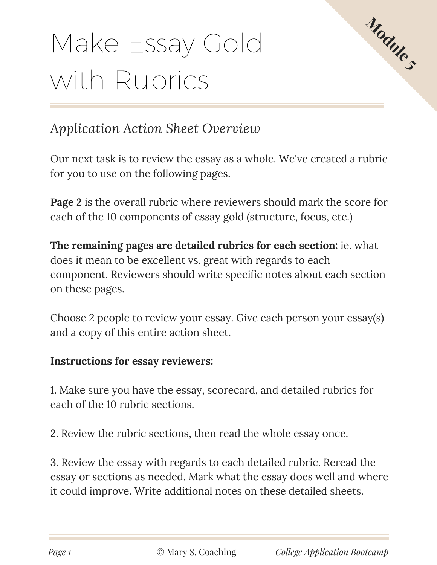# Make Essay Gold with Rubrics



### *Application Action Sheet Overview*

Our next task is to review the essay as a whole. We've created a rubric for you to use on the following pages.

**Page 2** is the overall rubric where reviewers should mark the score for each of the 10 components of essay gold (structure, focus, etc.)

**The remaining pages are detailed rubrics for each section:** ie. what does it mean to be excellent vs. great with regards to each component. Reviewers should write specific notes about each section on these pages.

Choose 2 people to review your essay. Give each person your essay(s) and a copy of this entire action sheet.

### **Instructions for essay reviewers:**

1. Make sure you have the essay, scorecard, and detailed rubrics for each of the 10 rubric sections.

2. Review the rubric sections, then read the whole essay once.

3. Review the essay with regards to each detailed rubric. Reread the essay or sections as needed. Mark what the essay does well and where it could improve. Write additional notes on these detailed sheets.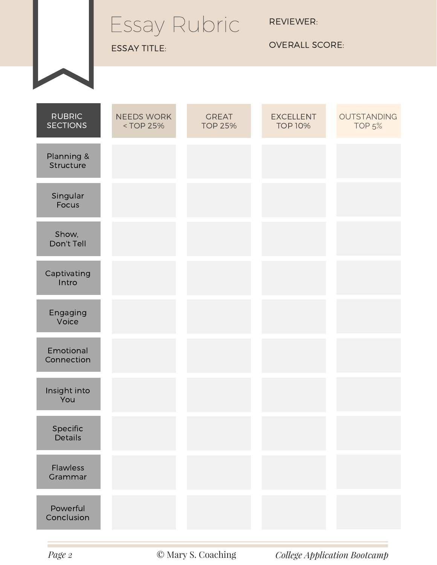## Essay Rubric

ESSAY TITLE:

REVIEWER:

OVERALL SCORE:

| <b>RUBRIC</b><br><b>SECTIONS</b> | <b>NEEDS WORK</b><br><top 25%<="" th=""><th><b>GREAT</b><br/><b>TOP 25%</b></th><th><b>EXCELLENT</b><br/><b>TOP 10%</b></th><th>OUTSTANDING<br/>TOP<sub>5</sub>%</th></top> | <b>GREAT</b><br><b>TOP 25%</b> | <b>EXCELLENT</b><br><b>TOP 10%</b> | OUTSTANDING<br>TOP <sub>5</sub> % |
|----------------------------------|-----------------------------------------------------------------------------------------------------------------------------------------------------------------------------|--------------------------------|------------------------------------|-----------------------------------|
| Planning &<br>Structure          |                                                                                                                                                                             |                                |                                    |                                   |
| Singular<br>Focus                |                                                                                                                                                                             |                                |                                    |                                   |
| Show,<br>Don't Tell              |                                                                                                                                                                             |                                |                                    |                                   |
| Captivating<br>Intro             |                                                                                                                                                                             |                                |                                    |                                   |
| Engaging<br>Voice                |                                                                                                                                                                             |                                |                                    |                                   |
| Emotional<br>Connection          |                                                                                                                                                                             |                                |                                    |                                   |
| Insight into<br>You              |                                                                                                                                                                             |                                |                                    |                                   |
| Specific<br>Details              |                                                                                                                                                                             |                                |                                    |                                   |
| Flawless<br>Grammar              |                                                                                                                                                                             |                                |                                    |                                   |
| Powerful<br>Conclusion           |                                                                                                                                                                             |                                |                                    |                                   |

*Page 2* © Mary S. Coaching *College Application Bootcamp*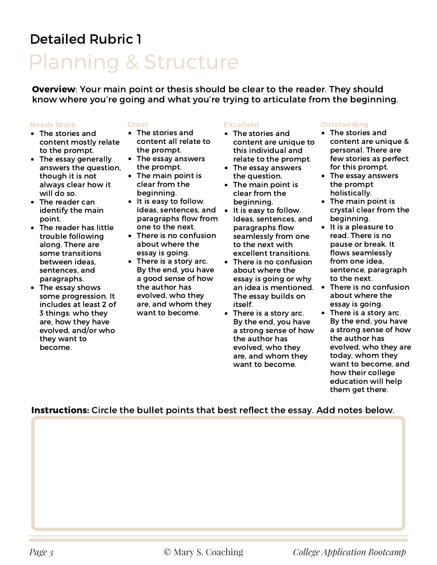## Planning & Structure

Overview: Your main point or thesis should be clear to the reader. They should know where you're going and what you're trying to articulate from the beginning.

### Needs Work

### Great

- The stories and content mostly relate to the prompt.
- The essay generally answers the question, though it is not always clear how it will do so.
- The reader can identify the main point.
- The reader has little trouble following along. There are some transitions between ideas, sentences, and paragraphs.
- The essay shows some progression. It includes at least 2 of 3 things: who they are, how they have evolved, and/or who they want to become.
- The stories and content all relate to the prompt.
- The essay answers the prompt.
- The main point is clear from the beginning.
- It is easy to follow. Ideas, sentences, and paragraphs flow from one to the next.
- There is no confusion about where the essay is going.
- There is a story arc. By the end, you have a good sense of how the author has evolved, who they are, and whom they want to become.

### Excellent

- The stories and content are unique to this individual and relate to the prompt.
- The essay answers the question.
- $\bullet$ The main point is clear from the beginning.
- $\bullet$ It is easy to follow. Ideas, sentences, and paragraphs flow seamlessly from one to the next with excellent transitions.
- There is no confusion about where the essay is going or why The essay builds on itself.
- There is a story arc. By the end, you have a strong sense of how the author has evolved, who they are, and whom they want to become.

### **Outstanding**

- The stories and content are unique & personal. There are few stories as perfect for this prompt.
- The essay answers the prompt holistically.
- The main point is crystal clear from the beginning.
- It is a pleasure to read. There is no pause or break. It flows seamlessly from one idea, sentence, paragraph to the next.
- an idea is mentioned. There is no confusion about where the essay is going.
	- There is a story arc. By the end, you have a strong sense of how the author has evolved, who they are today, whom they want to become, and how their college education will help them get there.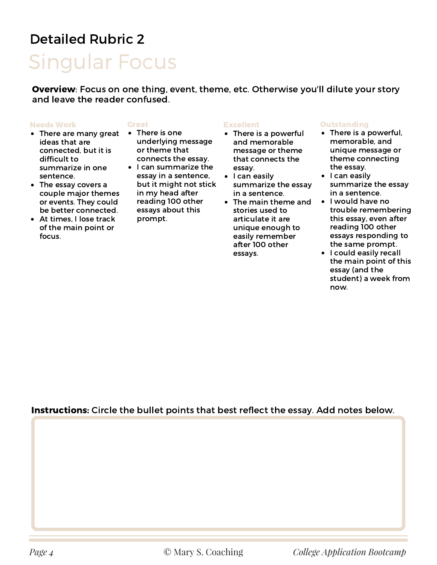## Singular Focus

Overview: Focus on one thing, event, theme, etc. Otherwise you'll dilute your story and leave the reader confused.

#### Needs Work

### Great

- There are many great ideas that are connected, but it is difficult to summarize in one sentence.
- The essay covers a couple major themes or events. They could be better connected.
- At times, I lose track of the main point or focus.
- There is one underlying message or theme that connects the essay.
- I can summarize the essay in a sentence, but it might not stick in my head after reading 100 other essays about this prompt.

### Excellent

- There is a powerful and memorable message or theme that connects the essay.
- I can easily summarize the essay in a sentence.
- The main theme and stories used to articulate it are unique enough to easily remember after 100 other essays.

### **Outstanding**

- There is a powerful, memorable, and unique message or theme connecting the essay.
- I can easily summarize the essay in a sentence.
- I would have no trouble remembering this essay, even after reading 100 other essays responding to the same prompt.
- I could easily recall the main point of this essay (and the student) a week from now.

### Instructions: Circle the bullet points that best reflect the essay. Add notes below.

*Page 4* © Mary S. Coaching *College Application Bootcamp*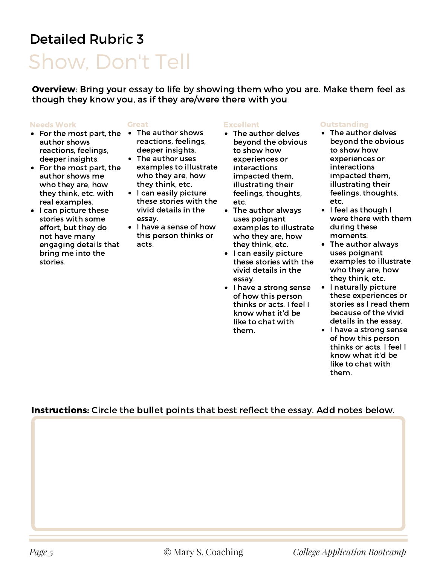## Show, Don't Tell

Overview: Bring your essay to life by showing them who you are. Make them feel as though they know you, as if they are/were there with you.

#### Needs Work

- For the most part, the The author shows author shows reactions, feelings, deeper insights.
- For the most part, the author shows me who they are, how they think, etc. with real examples.
- I can picture these stories with some effort, but they do not have many engaging details that bring me into the stories.

#### Great

- reactions, feelings, deeper insights.
- The author uses examples to illustrate who they are, how they think, etc.
- I can easily picture these stories with the vivid details in the essay.
- I have a sense of how this person thinks or acts.

### Excellent

- The author delves beyond the obvious to show how experiences or interactions impacted them, illustrating their feelings, thoughts, etc.
- The author always uses poignant examples to illustrate who they are, how they think, etc.
- $\bullet$ I can easily picture these stories with the vivid details in the essay.
- I have a strong sense of how this person thinks or acts. I feel I know what it'd be like to chat with them.

### **Outstanding**

- The author delves beyond the obvious to show how experiences or interactions impacted them, illustrating their feelings, thoughts, etc.
- **I** feel as though I were there with them during these moments.
- The author always uses poignant examples to illustrate who they are, how they think, etc.
- I naturally picture these experiences or stories as I read them because of the vivid details in the essay.
- I have a strong sense of how this person thinks or acts. I feel I know what it'd be like to chat with them.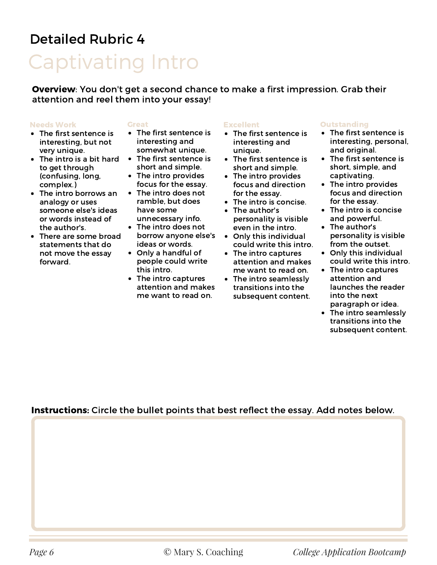## Captivating Intro

Overview: You don't get a second chance to make a first impression. Grab their attention and reel them into your essay!

### Needs Work

- The first sentence is interesting, but not very unique.
- The intro is a bit hard to get through (confusing, long, complex.)
- The intro borrows an analogy or uses someone else's ideas or words instead of the author's.
- There are some broad statements that do not move the essay forward.

### Great

- The first sentence is interesting and somewhat unique.
- The first sentence is short and simple.
- The intro provides focus for the essay.
- The intro does not ramble, but does have some unnecessary info.
- The intro does not borrow anyone else's ideas or words.
- Only a handful of people could write this intro.
- The intro captures attention and makes me want to read on.

#### Excellent

- The first sentence is interesting and unique.
- The first sentence is short and simple.
- The intro provides focus and direction for the essay.
- The intro is concise.
- The author's personality is visible even in the intro.
- Only this individual could write this intro.
- The intro captures attention and makes me want to read on.
- The intro seamlessly transitions into the subsequent content.

### **Outstanding**

- The first sentence is interesting, personal, and original.
- The first sentence is short, simple, and captivating.
- The intro provides focus and direction for the essay.
- The intro is concise and powerful.
- The author's personality is visible from the outset.
- Only this individual could write this intro.
- The intro captures attention and launches the reader into the next paragraph or idea.
- The intro seamlessly transitions into the subsequent content.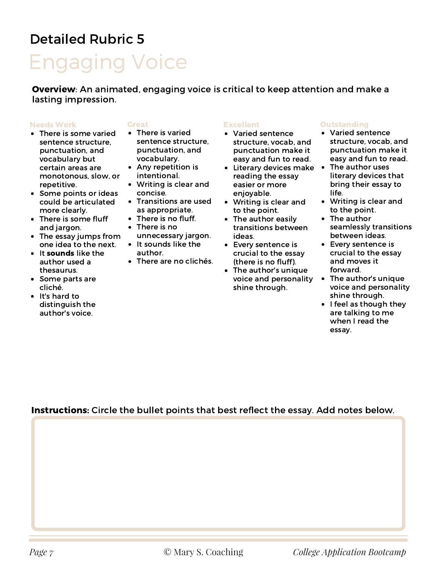## Engaging Voice

Overview: An animated, engaging voice is critical to keep attention and make a lasting impression.

### Needs Work

- There is some varied sentence structure, punctuation, and vocabulary but certain areas are monotonous, slow, or repetitive.
- Some points or ideas could be articulated more clearly.
- There is some fluff and jargon.
- The essay jumps from one idea to the next.
- It sounds like the author used a thesaurus.
- Some parts are cliché.
- It's hard to distinguish the author's voice.

### Great

- There is varied sentence structure, punctuation, and vocabulary.
- Any repetition is intentional.
- Writing is clear and concise.
- Transitions are used as appropriate.
- There is no fluff.
- There is no unnecessary jargon.
- It sounds like the author.
- There are no clichés.

### Excellent

- Varied sentence structure, vocab, and punctuation make it easy and fun to read.
- Literary devices make The author uses reading the essay easier or more enjoyable.
- Writing is clear and to the point.
- The author easily transitions between ideas.
- Every sentence is crucial to the essay (there is no fluff).
- The author's unique voice and personality shine through.

### **Outstanding**

- Varied sentence structure, vocab, and punctuation make it easy and fun to read.
- literary devices that bring their essay to life.
- Writing is clear and to the point.
- The author seamlessly transitions between ideas.
- Every sentence is crucial to the essay and moves it forward.
- The author's unique voice and personality shine through.
- I feel as though they are talking to me when I read the essay.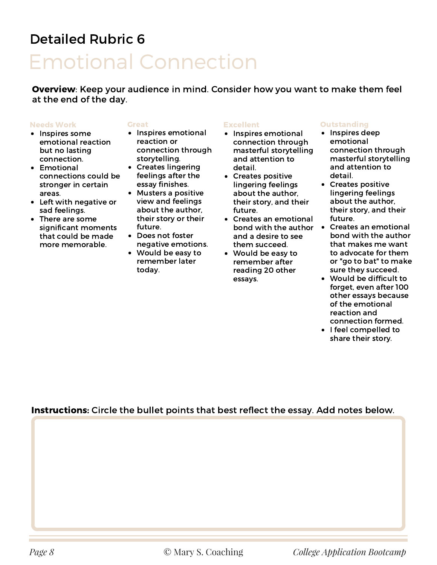## Emotional Connection

Overview: Keep your audience in mind. Consider how you want to make them feel at the end of the day.

### Needs Work

- Inspires some emotional reaction but no lasting connection.
- Emotional connections could be stronger in certain areas.
- Left with negative or sad feelings.
- There are some significant moments that could be made more memorable.

### Great

- Inspires emotional reaction or connection through storytelling.
- Creates lingering feelings after the essay finishes.
- Musters a positive view and feelings about the author, their story or their future.
- Does not foster negative emotions.
- Would be easy to remember later today.

### Excellent

- Inspires emotional connection through masterful storytelling and attention to detail.
- Creates positive lingering feelings about the author, their story, and their future.
- Creates an emotional bond with the author Creates an emotional and a desire to see them succeed.
- Would be easy to remember after reading 20 other essays.

### **Outstanding**

- Inspires deep emotional connection through masterful storytelling and attention to detail.
- Creates positive lingering feelings about the author, their story, and their future.
- bond with the author that makes me want to advocate for them or "go to bat" to make sure they succeed.
- Would be difficult to forget, even after 100 other essays because of the emotional reaction and connection formed.
- I feel compelled to share their story.

### Instructions: Circle the bullet points that best reflect the essay. Add notes below.

*Page 8* © Mary S. Coaching *College Application Bootcamp*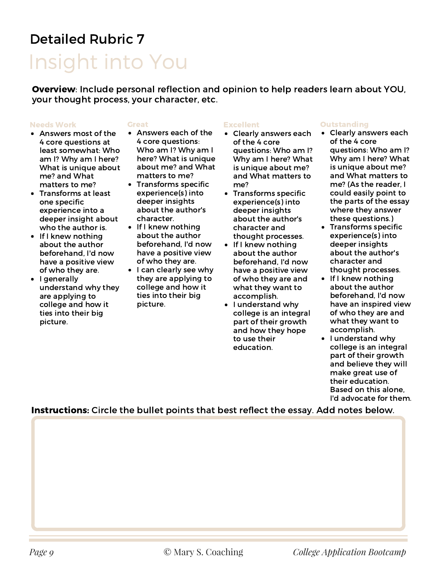## Insight into You

Overview: Include personal reflection and opinion to help readers learn about YOU, your thought process, your character, etc.

#### Needs Work

### Great

- Answers most of the 4 core questions at least somewhat: Who am I? Why am I here? What is unique about me? and What matters to me?
- Transforms at least one specific experience into a deeper insight about who the author is.
- If I knew nothing about the author beforehand, I'd now have a positive view of who they are.
- I generally understand why they are applying to college and how it ties into their big picture.
- Answers each of the 4 core questions: Who am I? Why am I here? What is unique about me? and What matters to me?
- Transforms specific experience(s) into deeper insights about the author's character.
- If I knew nothing about the author beforehand, I'd now have a positive view of who they are.
- I can clearly see why they are applying to college and how it ties into their big picture.

### Excellent

- Clearly answers each of the 4 core questions: Who am I? Why am I here? What is unique about me? and What matters to me?
- Transforms specific experience(s) into deeper insights about the author's character and thought processes.
- $\bullet$ If I knew nothing about the author beforehand, I'd now have a positive view of who they are and what they want to accomplish.
- I understand why college is an integral part of their growth and how they hope to use their education.

### **Outstanding**

- Clearly answers each of the 4 core questions: Who am I? Why am I here? What is unique about me? and What matters to me? (As the reader, I could easily point to the parts of the essay where they answer these questions.)
- **•** Transforms specific experience(s) into deeper insights about the author's character and thought processes.
- If I knew nothing about the author beforehand, I'd now have an inspired view of who they are and what they want to accomplish.
- I understand why college is an integral part of their growth and believe they will make great use of their education. Based on this alone, I'd advocate for them.

Instructions: Circle the bullet points that best reflect the essay. Add notes below.

*Page 9* © Mary S. Coaching *College Application Bootcamp*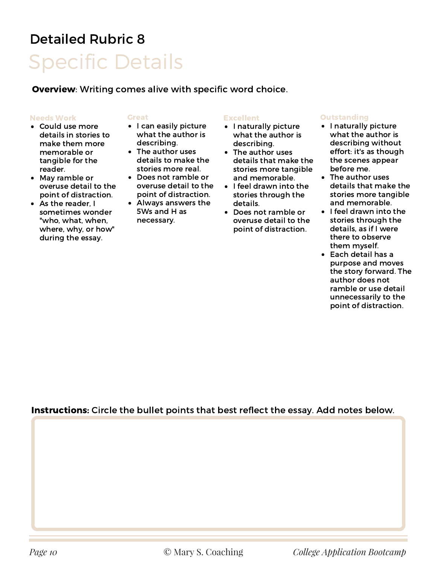## Specific Details Detailed Rubric 8

Overview: Writing comes alive with specific word choice.

### Needs Work

- Could use more details in stories to make them more memorable or tangible for the reader.
- May ramble or overuse detail to the point of distraction.
- As the reader, I sometimes wonder "who, what, when, where, why, or how" during the essay.

### Great

- I can easily picture what the author is describing.
- The author uses details to make the stories more real.
- Does not ramble or overuse detail to the point of distraction.
- Always answers the 5Ws and H as necessary.

### Excellent

- I naturally picture what the author is describing.
- The author uses details that make the stories more tangible and memorable.
- I feel drawn into the stories through the details.
- Does not ramble or overuse detail to the point of distraction.

### **Outstanding**

- I naturally picture what the author is describing without effort: it's as though the scenes appear before me.
- The author uses details that make the stories more tangible and memorable.
- I feel drawn into the stories through the details, as if I were there to observe them myself.
- Each detail has a purpose and moves the story forward. The author does not ramble or use detail unnecessarily to the point of distraction.

### Instructions: Circle the bullet points that best reflect the essay. Add notes below.

*Page 10* © Mary S. Coaching *College Application Bootcamp*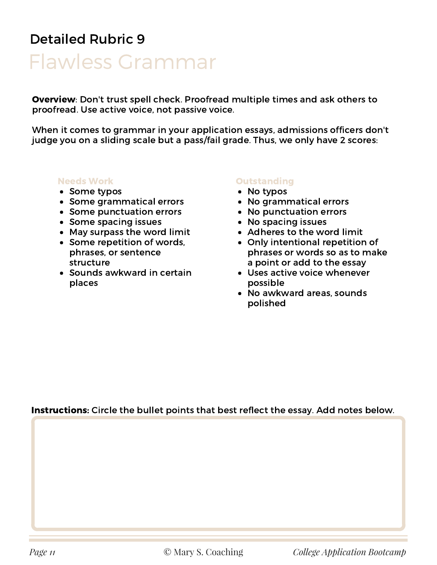## Flawless Grammar

Overview: Don't trust spell check. Proofread multiple times and ask others to proofread. Use active voice, not passive voice.

When it comes to grammar in your application essays, admissions officers don't judge you on a sliding scale but a pass/fail grade. Thus, we only have 2 scores:

### Needs Work

- Some typos
- Some grammatical errors
- Some punctuation errors
- Some spacing issues
- May surpass the word limit
- Some repetition of words, phrases, or sentence structure
- Sounds awkward in certain places

### **Outstanding**

- No typos
- No grammatical errors
- No punctuation errors
- No spacing issues
- Adheres to the word limit
- Only intentional repetition of phrases or words so as to make a point or add to the essay
- Uses active voice whenever possible
- No awkward areas, sounds polished

### Instructions: Circle the bullet points that best reflect the essay. Add notes below.

*Page 11* © Mary S. Coaching *College Application Bootcamp*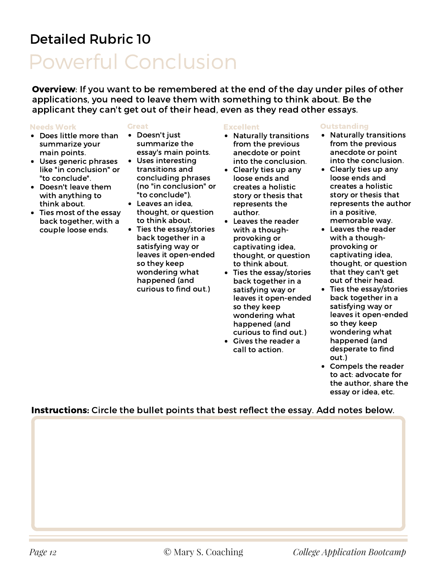## Powerful Conclusion

Overview: If you want to be remembered at the end of the day under piles of other applications, you need to leave them with something to think about. Be the applicant they can't get out of their head, even as they read other essays.

### Needs Work

### Great

- Does little more than summarize your main points.
- Uses generic phrases like "in conclusion" or "to conclude".
- Doesn't leave them with anything to think about.
- Ties most of the essay back together, with a couple loose ends.
- Doesn't just summarize the essay's main points.
- Uses interesting transitions and concluding phrases (no "in conclusion" or "to conclude").
- Leaves an idea, thought, or question to think about.
- Ties the essay/stories back together in a satisfying way or leaves it open-ended so they keep wondering what happened (and curious to find out.)

### **Excellent**

- Naturally transitions from the previous anecdote or point into the conclusion.
- Clearly ties up any loose ends and creates a holistic story or thesis that represents the author.
- Leaves the reader with a thoughprovoking or captivating idea, thought, or question to think about.
- $\bullet$ Ties the essay/stories back together in a satisfying way or leaves it open-ended so they keep wondering what happened (and curious to find out.)
- Gives the reader a call to action.

### **Outstanding**

- Naturally transitions from the previous anecdote or point into the conclusion.
- Clearly ties up any loose ends and creates a holistic story or thesis that represents the author in a positive, memorable way.
- Leaves the reader with a thoughprovoking or captivating idea, thought, or question that they can't get out of their head.
- Ties the essay/stories back together in a satisfying way or leaves it open-ended so they keep wondering what happened (and desperate to find out.)
- Compels the reader to act: advocate for the author, share the essay or idea, etc.